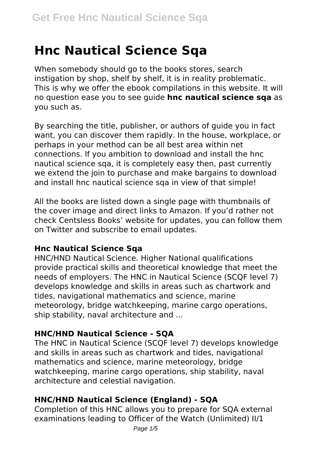# **Hnc Nautical Science Sqa**

When somebody should go to the books stores, search instigation by shop, shelf by shelf, it is in reality problematic. This is why we offer the ebook compilations in this website. It will no question ease you to see guide **hnc nautical science sqa** as you such as.

By searching the title, publisher, or authors of guide you in fact want, you can discover them rapidly. In the house, workplace, or perhaps in your method can be all best area within net connections. If you ambition to download and install the hnc nautical science sqa, it is completely easy then, past currently we extend the join to purchase and make bargains to download and install hnc nautical science sqa in view of that simple!

All the books are listed down a single page with thumbnails of the cover image and direct links to Amazon. If you'd rather not check Centsless Books' website for updates, you can follow them on Twitter and subscribe to email updates.

# **Hnc Nautical Science Sqa**

HNC/HND Nautical Science. Higher National qualifications provide practical skills and theoretical knowledge that meet the needs of employers. The HNC in Nautical Science (SCQF level 7) develops knowledge and skills in areas such as chartwork and tides, navigational mathematics and science, marine meteorology, bridge watchkeeping, marine cargo operations, ship stability, naval architecture and ...

# **HNC/HND Nautical Science - SQA**

The HNC in Nautical Science (SCQF level 7) develops knowledge and skills in areas such as chartwork and tides, navigational mathematics and science, marine meteorology, bridge watchkeeping, marine cargo operations, ship stability, naval architecture and celestial navigation.

# **HNC/HND Nautical Science (England) - SQA**

Completion of this HNC allows you to prepare for SQA external examinations leading to Officer of the Watch (Unlimited) II/1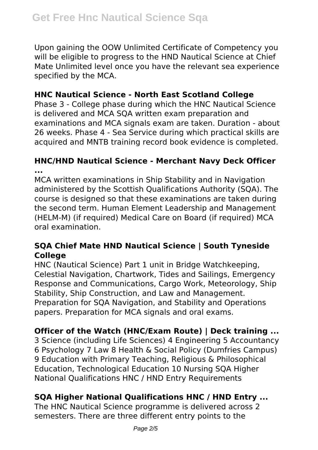Upon gaining the OOW Unlimited Certificate of Competency you will be eligible to progress to the HND Nautical Science at Chief Mate Unlimited level once you have the relevant sea experience specified by the MCA.

# **HNC Nautical Science - North East Scotland College**

Phase 3 - College phase during which the HNC Nautical Science is delivered and MCA SQA written exam preparation and examinations and MCA signals exam are taken. Duration - about 26 weeks. Phase 4 - Sea Service during which practical skills are acquired and MNTB training record book evidence is completed.

# **HNC/HND Nautical Science - Merchant Navy Deck Officer ...**

MCA written examinations in Ship Stability and in Navigation administered by the Scottish Qualifications Authority (SQA). The course is designed so that these examinations are taken during the second term. Human Element Leadership and Management (HELM-M) (if required) Medical Care on Board (if required) MCA oral examination.

# **SQA Chief Mate HND Nautical Science | South Tyneside College**

HNC (Nautical Science) Part 1 unit in Bridge Watchkeeping, Celestial Navigation, Chartwork, Tides and Sailings, Emergency Response and Communications, Cargo Work, Meteorology, Ship Stability, Ship Construction, and Law and Management. Preparation for SQA Navigation, and Stability and Operations papers. Preparation for MCA signals and oral exams.

# **Officer of the Watch (HNC/Exam Route) | Deck training ...**

3 Science (including Life Sciences) 4 Engineering 5 Accountancy 6 Psychology 7 Law 8 Health & Social Policy (Dumfries Campus) 9 Education with Primary Teaching, Religious & Philosophical Education, Technological Education 10 Nursing SQA Higher National Qualifications HNC / HND Entry Requirements

# **SQA Higher National Qualifications HNC / HND Entry ...**

The HNC Nautical Science programme is delivered across 2 semesters. There are three different entry points to the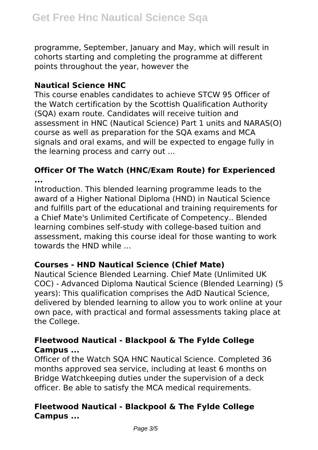programme, September, January and May, which will result in cohorts starting and completing the programme at different points throughout the year, however the

# **Nautical Science HNC**

This course enables candidates to achieve STCW 95 Officer of the Watch certification by the Scottish Qualification Authority (SQA) exam route. Candidates will receive tuition and assessment in HNC (Nautical Science) Part 1 units and NARAS(O) course as well as preparation for the SQA exams and MCA signals and oral exams, and will be expected to engage fully in the learning process and carry out ...

#### **Officer Of The Watch (HNC/Exam Route) for Experienced ...**

Introduction. This blended learning programme leads to the award of a Higher National Diploma (HND) in Nautical Science and fulfills part of the educational and training requirements for a Chief Mate's Unlimited Certificate of Competency.. Blended learning combines self-study with college-based tuition and assessment, making this course ideal for those wanting to work towards the HND while ...

# **Courses - HND Nautical Science (Chief Mate)**

Nautical Science Blended Learning. Chief Mate (Unlimited UK COC) - Advanced Diploma Nautical Science (Blended Learning) (5 years): This qualification comprises the AdD Nautical Science, delivered by blended learning to allow you to work online at your own pace, with practical and formal assessments taking place at the College.

# **Fleetwood Nautical - Blackpool & The Fylde College Campus ...**

Officer of the Watch SQA HNC Nautical Science. Completed 36 months approved sea service, including at least 6 months on Bridge Watchkeeping duties under the supervision of a deck officer. Be able to satisfy the MCA medical requirements.

# **Fleetwood Nautical - Blackpool & The Fylde College Campus ...**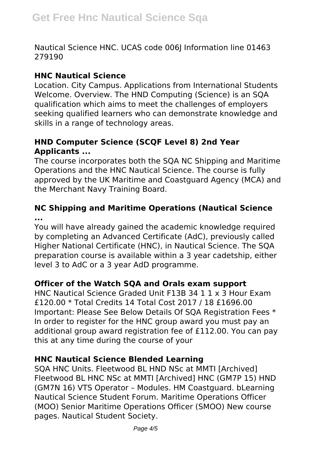Nautical Science HNC. UCAS code 006J Information line 01463 279190

### **HNC Nautical Science**

Location. City Campus. Applications from International Students Welcome. Overview. The HND Computing (Science) is an SQA qualification which aims to meet the challenges of employers seeking qualified learners who can demonstrate knowledge and skills in a range of technology areas.

# **HND Computer Science (SCQF Level 8) 2nd Year Applicants ...**

The course incorporates both the SQA NC Shipping and Maritime Operations and the HNC Nautical Science. The course is fully approved by the UK Maritime and Coastguard Agency (MCA) and the Merchant Navy Training Board.

# **NC Shipping and Maritime Operations (Nautical Science ...**

You will have already gained the academic knowledge required by completing an Advanced Certificate (AdC), previously called Higher National Certificate (HNC), in Nautical Science. The SQA preparation course is available within a 3 year cadetship, either level 3 to AdC or a 3 year AdD programme.

# **Officer of the Watch SQA and Orals exam support**

HNC Nautical Science Graded Unit F13B 34 1 1 x 3 Hour Exam £120.00 \* Total Credits 14 Total Cost 2017 / 18 £1696.00 Important: Please See Below Details Of SQA Registration Fees \* In order to register for the HNC group award you must pay an additional group award registration fee of £112.00. You can pay this at any time during the course of your

# **HNC Nautical Science Blended Learning**

SQA HNC Units. Fleetwood BL HND NSc at MMTI [Archived] Fleetwood BL HNC NSc at MMTI [Archived] HNC (GM7P 15) HND (GM7N 16) VTS Operator – Modules. HM Coastguard. bLearning Nautical Science Student Forum. Maritime Operations Officer (MOO) Senior Maritime Operations Officer (SMOO) New course pages. Nautical Student Society.